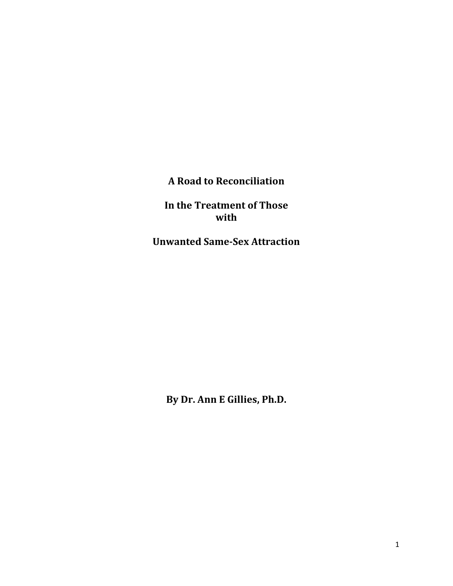**A Road to Reconciliation**

**In the Treatment of Those with**

**Unwanted Same-Sex Attraction**

**By Dr. Ann E Gillies, Ph.D.**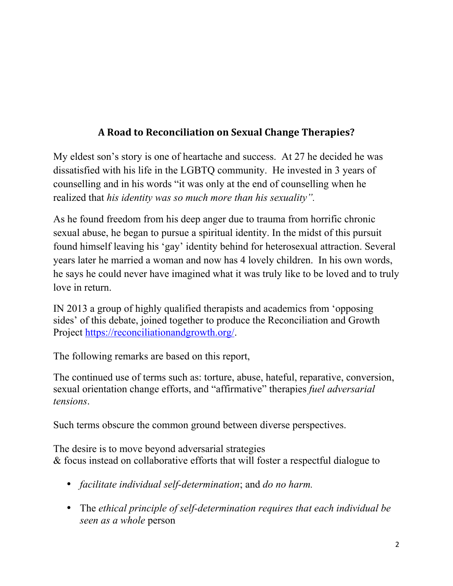## **A Road to Reconciliation on Sexual Change Therapies?**

My eldest son's story is one of heartache and success. At 27 he decided he was dissatisfied with his life in the LGBTQ community. He invested in 3 years of counselling and in his words "it was only at the end of counselling when he realized that *his identity was so much more than his sexuality".* 

As he found freedom from his deep anger due to trauma from horrific chronic sexual abuse, he began to pursue a spiritual identity. In the midst of this pursuit found himself leaving his 'gay' identity behind for heterosexual attraction. Several years later he married a woman and now has 4 lovely children. In his own words, he says he could never have imagined what it was truly like to be loved and to truly love in return.

IN 2013 a group of highly qualified therapists and academics from 'opposing sides' of this debate, joined together to produce the Reconciliation and Growth Project https://reconciliationandgrowth.org/.

The following remarks are based on this report,

The continued use of terms such as: torture, abuse, hateful, reparative, conversion, sexual orientation change efforts, and "affirmative" therapies *fuel adversarial tensions*.

Such terms obscure the common ground between diverse perspectives.

The desire is to move beyond adversarial strategies & focus instead on collaborative efforts that will foster a respectful dialogue to

- *facilitate individual self-determination*; and *do no harm.*
- The *ethical principle of self-determination requires that each individual be seen as a whole* person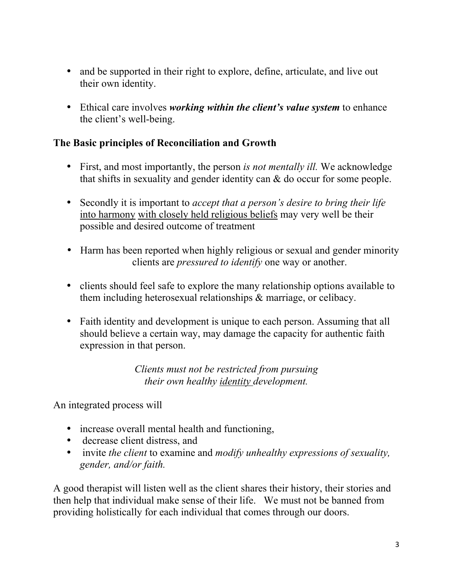- and be supported in their right to explore, define, articulate, and live out their own identity.
- Ethical care involves *working within the client's value system* to enhance the client's well-being.

## **The Basic principles of Reconciliation and Growth**

- First, and most importantly, the person *is not mentally ill.* We acknowledge that shifts in sexuality and gender identity can & do occur for some people.
- Secondly it is important to *accept that a person's desire to bring their life*  into harmony with closely held religious beliefs may very well be their possible and desired outcome of treatment
- Harm has been reported when highly religious or sexual and gender minority clients are *pressured to identify* one way or another.
- clients should feel safe to explore the many relationship options available to them including heterosexual relationships & marriage, or celibacy.
- Faith identity and development is unique to each person. Assuming that all should believe a certain way, may damage the capacity for authentic faith expression in that person.

*Clients must not be restricted from pursuing their own healthy identity development.*

An integrated process will

- increase overall mental health and functioning,
- decrease client distress, and
- invite *the client* to examine and *modify unhealthy expressions of sexuality, gender, and/or faith.*

A good therapist will listen well as the client shares their history, their stories and then help that individual make sense of their life. We must not be banned from providing holistically for each individual that comes through our doors.